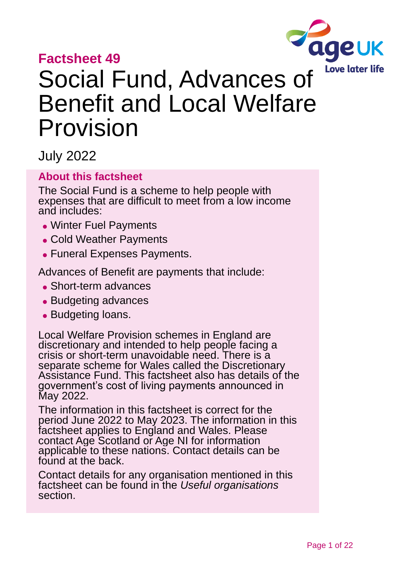# **Factsheet 49**



# Social Fund, Advances of Benefit and Local Welfare Provision

July 2022

### **About this factsheet**

The Social Fund is a scheme to help people with expenses that are difficult to meet from a low income and includes:

- ⚫ Winter Fuel Payments
- Cold Weather Payments
- ⚫ Funeral Expenses Payments.

Advances of Benefit are payments that include:

- ⚫ Short-term advances
- ⚫ Budgeting advances
- ⚫ Budgeting loans.

Local Welfare Provision schemes in England are discretionary and intended to help people facing a crisis or short-term unavoidable need. There is a separate scheme for Wales called the Discretionary Assistance Fund. This factsheet also has details of the government's cost of living payments announced in May 2022.

The information in this factsheet is correct for the period June 2022 to May 2023. The information in this factsheet applies to England and Wales. Please contact [Age Scotland](#page-20-0) or [Age NI](#page-20-1) for information applicable to these nations. Contact details can be found at the back.

Contact details for any organisation mentioned in this factsheet can be found in the *[Useful organisations](#page-18-0)* section.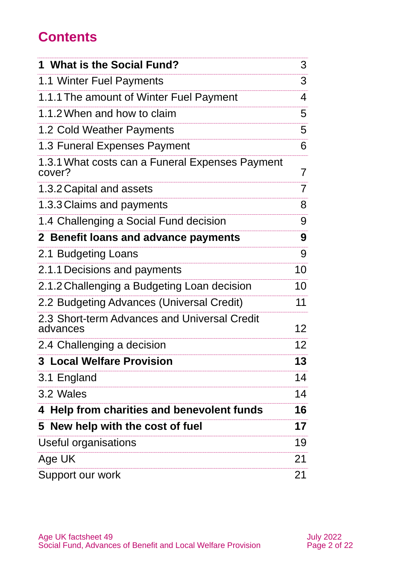# **Contents**

| 1 What is the Social Fund?                                | 3              |
|-----------------------------------------------------------|----------------|
| 1.1 Winter Fuel Payments                                  | 3              |
| 1.1.1 The amount of Winter Fuel Payment                   | 4              |
| 1.1.2 When and how to claim                               | 5              |
| 1.2 Cold Weather Payments                                 | 5              |
| 1.3 Funeral Expenses Payment                              | 6              |
| 1.3.1 What costs can a Funeral Expenses Payment<br>cover? | $\overline{7}$ |
| 1.3.2 Capital and assets                                  | $\overline{7}$ |
| 1.3.3 Claims and payments                                 | 8              |
| 1.4 Challenging a Social Fund decision                    | 9              |
| 2 Benefit loans and advance payments                      | 9              |
| 2.1 Budgeting Loans                                       | 9              |
| 2.1.1 Decisions and payments                              | 10             |
| 2.1.2 Challenging a Budgeting Loan decision               | 10             |
| 2.2 Budgeting Advances (Universal Credit)                 | 11             |
| 2.3 Short-term Advances and Universal Credit<br>advances  | 12             |
| 2.4 Challenging a decision                                | 12             |
| <b>3 Local Welfare Provision</b>                          | 13             |
| 3.1 England                                               | 14             |
| 3.2 Wales                                                 | 14             |
| 4 Help from charities and benevolent funds                | 16             |
| 5 New help with the cost of fuel                          | 17             |
| <b>Useful organisations</b>                               | 19             |
| Age UK                                                    | 21             |
| Support our work                                          | 21             |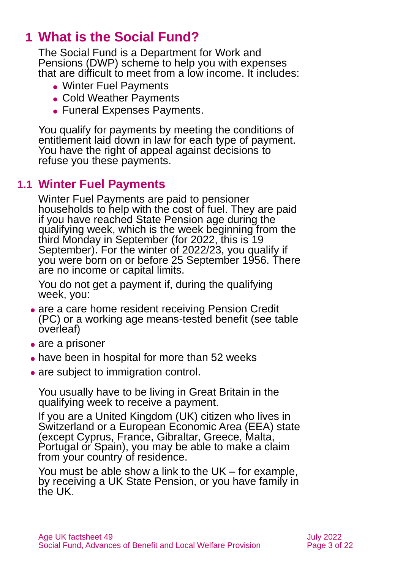# <span id="page-2-0"></span>**1 What is the Social Fund?**

The Social Fund is a Department for Work and Pensions (DWP) scheme to help you with expenses that are difficult to meet from a low income. It includes:

- ⚫ Winter Fuel Payments
- Cold Weather Payments
- ⚫ Funeral Expenses Payments.

You qualify for payments by meeting the conditions of entitlement laid down in law for each type of payment. You have the right of appeal against decisions to refuse you these payments.

### **1.1 Winter Fuel Payments**

Winter Fuel Payments are paid to pensioner households to help with the cost of fuel. They are paid if you have reached State Pension age during the qualifying week, which is the week beginning from the third Monday in September (for 2022, this is 19 September). For the winter of 2022/23, you qualify if you were born on or before 25 September 1956. There are no income or capital limits.

You do not get a payment if, during the qualifying week, you:

- are a care home resident receiving Pension Credit (PC) or a working age means-tested benefit (see table overleaf)
- are a prisoner
- have been in hospital for more than 52 weeks
- are subject to immigration control.

You usually have to be living in Great Britain in the qualifying week to receive a payment.

If you are a United Kingdom (UK) citizen who lives in Switzerland or a European Economic Area (EEA) state (except Cyprus, France, Gibraltar, Greece, Malta, Portugal or Spain), you may be able to make a claim from your country of residence.

You must be able show a link to the UK – for example, by receiving a UK State Pension, or you have family in the UK.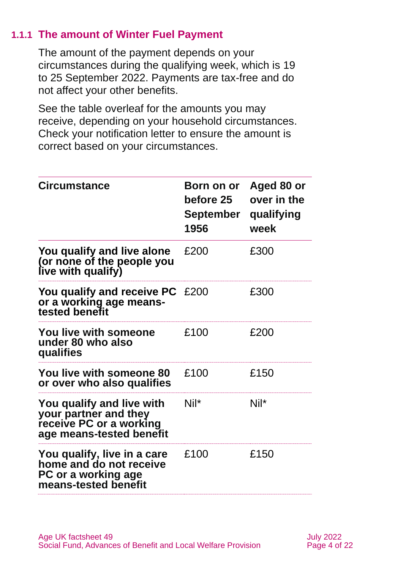### **1.1.1 The amount of Winter Fuel Payment**

The amount of the payment depends on your circumstances during the qualifying week, which is 19 to 25 September 2022. Payments are tax-free and do not affect your other benefits.

See the table overleaf for the amounts you may receive, depending on your household circumstances. Check your notification letter to ensure the amount is correct based on your circumstances.

| <b>Circumstance</b>                                                                                       | Born on or<br><b>before 25</b><br>September<br>1956 | Aged 80 or<br>over in the<br>qualifying<br>week |
|-----------------------------------------------------------------------------------------------------------|-----------------------------------------------------|-------------------------------------------------|
| You qualify and live alone<br>(or none of the people you<br>live with qualify)                            | £200                                                | £300                                            |
| You qualify and receive PC £200<br>or a working age means-<br>tested benefit                              |                                                     | £300                                            |
| <b>You live with someone</b><br>under 80 who also<br>qualifies                                            | £100                                                | £200                                            |
| You live with someone 80<br>or over who also qualifies                                                    | £100                                                | £150                                            |
| You qualify and live with<br>your partner and they<br>receive PC or a working<br>age means-tested benefit | $Nil^*$                                             | $Nil^*$                                         |
| You qualify, live in a care<br>home and do not receive<br>PC or a working age<br>means-tested benefit     | £100                                                | £150                                            |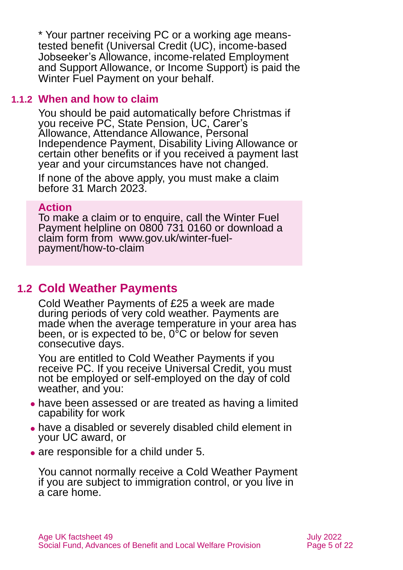\* Your partner receiving PC or a working age meanstested benefit (Universal Credit (UC), income-based Jobseeker's Allowance, income-related Employment and Support Allowance, or Income Support) is paid the Winter Fuel Payment on your behalf.

#### **1.1.2 When and how to claim**

You should be paid automatically before Christmas if you receive PC, State Pension, UC, Carer's Allowance, Attendance Allowance, Personal Independence Payment, Disability Living Allowance or certain other benefits or if you received a payment last year and your circumstances have not changed.

If none of the above apply, you must make a claim before 31 March 2023.

### **Action**

To make a claim or to enquire, call the Winter Fuel Payment helpline on 0800 731 0160 or download a claim form from [www.gov.uk/winter-fuel](http://www.gov.uk/winter-fuel-payment/how-to-claim)[payment/how-to-claim](http://www.gov.uk/winter-fuel-payment/how-to-claim)

### **1.2 Cold Weather Payments**

Cold Weather Payments of £25 a week are made during periods of very cold weather. Payments are made when the average temperature in your area has been, or is expected to be,  $0^{\circ}$ C or below for seven consecutive days.

You are entitled to Cold Weather Payments if you receive PC. If you receive Universal Credit, you must not be employed or self-employed on the day of cold weather, and you:

- ⚫ have been assessed or are treated as having a limited capability for work
- ⚫ have a disabled or severely disabled child element in your UC award, or
- are responsible for a child under 5.

You cannot normally receive a Cold Weather Payment if you are subject to immigration control, or you live in a care home.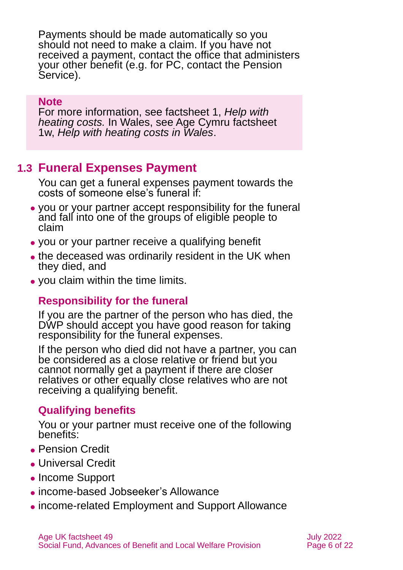Payments should be made automatically so you should not need to make a claim. If you have not received a payment, contact the office that administers your other benefit (e.g. for PC, contact the Pension Service).

#### **Note**

For more information, see [factsheet 1,](https://www.ageuk.org.uk/globalassets/age-uk/documents/factsheets/fs1_help_with_heating_costs_fcs.pdf) *Help with [heating costs.](https://www.ageuk.org.uk/globalassets/age-uk/documents/factsheets/fs1_help_with_heating_costs_fcs.pdf)* In Wales, see Age Cymru factsheet 1w, *[Help with heating costs in Wales](https://www.ageuk.org.uk/globalassets/age-cymru/documents/information-guides-and-factsheets/fs1w.pdf)*.

### <span id="page-5-0"></span>**1.3 Funeral Expenses Payment**

You can get a funeral expenses payment towards the costs of someone else's funeral if:

- ⚫ you or your partner accept responsibility for the funeral and fall into one of the groups of eligible people to claim
- ⚫ you or your partner receive a qualifying benefit
- the deceased was ordinarily resident in the UK when they died, and
- ⚫ you claim within the time limits.

### **Responsibility for the funeral**

If you are the partner of the person who has died, the DWP should accept you have good reason for taking responsibility for the funeral expenses.

If the person who died did not have a partner, you can be considered as a close relative or friend but you cannot normally get a payment if there are closer relatives or other equally close relatives who are not receiving a qualifying benefit.

### **Qualifying benefits**

You or your partner must receive one of the following benefits:

- ⚫ Pension Credit
- ⚫ Universal Credit
- ⚫ Income Support
- ⚫ income-based Jobseeker's Allowance
- ⚫ income-related Employment and Support Allowance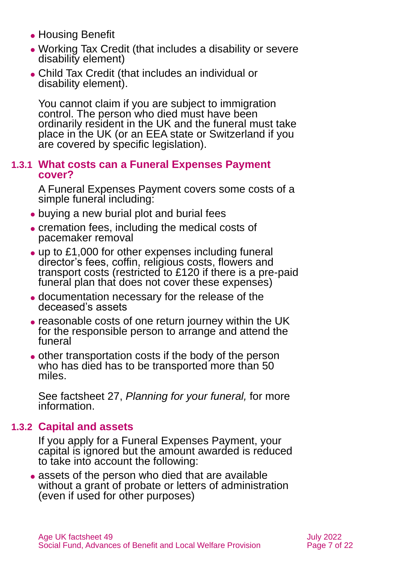- ⚫ Housing Benefit
- ⚫ Working Tax Credit (that includes a disability or severe disability element)
- ⚫ Child Tax Credit (that includes an individual or disability element).

You cannot claim if you are subject to immigration control. The person who died must have been ordinarily resident in the UK and the funeral must take place in the UK (or an EEA state or Switzerland if you are covered by specific legislation).

#### **1.3.1 What costs can a Funeral Expenses Payment cover?**

A Funeral Expenses Payment covers some costs of a simple funeral including:

- buying a new burial plot and burial fees
- ⚫ cremation fees, including the medical costs of pacemaker removal
- ⚫ up to £1,000 for other expenses including funeral director's fees, coffin, religious costs, flowers and transport costs (restricted to £120 if there is a pre-paid funeral plan that does not cover these expenses)
- ⚫ documentation necessary for the release of the deceased's assets
- reasonable costs of one return journey within the UK for the responsible person to arrange and attend the funeral
- ⚫ other transportation costs if the body of the person who has died has to be transported more than 50 miles.

See [factsheet](https://www.ageuk.org.uk/globalassets/age-uk/documents/factsheets/fs27_planning_for_your_funeral_fcs.pdf) 27, *[Planning for your](https://www.ageuk.org.uk/globalassets/age-uk/documents/factsheets/fs27_planning_for_your_funeral_fcs.pdf) funeral,* for more information.

### **1.3.2 Capital and assets**

If you apply for a Funeral Expenses Payment, your capital is ignored but the amount awarded is reduced to take into account the following:

⚫ assets of the person who died that are available without a grant of probate or letters of administration (even if used for other purposes)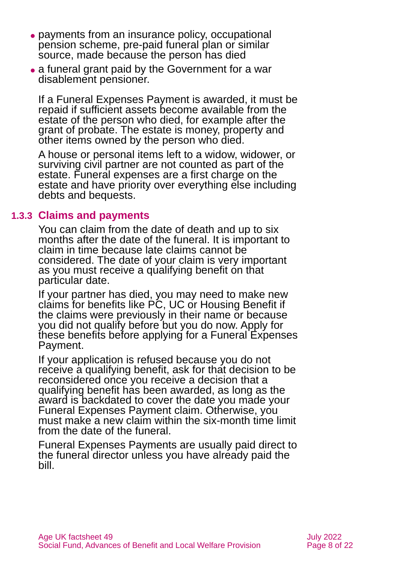- ⚫ payments from an insurance policy, occupational pension scheme, pre-paid funeral plan or similar source, made because the person has died
- a funeral grant paid by the Government for a war disablement pensioner.

If a Funeral Expenses Payment is awarded, it must be repaid if sufficient assets become available from the estate of the person who died, for example after the grant of probate. The estate is money, property and other items owned by the person who died.

A house or personal items left to a widow, widower, or surviving civil partner are not counted as part of the estate. Funeral expenses are a first charge on the estate and have priority over everything else including debts and bequests.

#### **1.3.3 Claims and payments**

You can claim from the date of death and up to six months after the date of the funeral. It is important to claim in time because late claims cannot be considered. The date of your claim is very important as you must receive a qualifying benefit on that particular date.

If your partner has died, you may need to make new claims for benefits like PC, UC or Housing Benefit if the claims were previously in their name or because you did not qualify before but you do now. Apply for these benefits before applying for a Funeral Expenses Payment.

If your application is refused because you do not receive a qualifying benefit, ask for that decision to be reconsidered once you receive a decision that a qualifying benefit has been awarded, as long as the award is backdated to cover the date you made your Funeral Expenses Payment claim. Otherwise, you must make a new claim within the six-month time limit from the date of the funeral.

Funeral Expenses Payments are usually paid direct to the funeral director unless you have already paid the bill.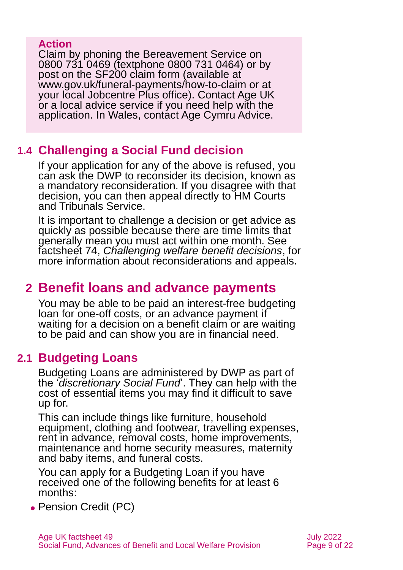### **Action**

Claim by phoning the Bereavement Service on 0800 731 0469 (textphone 0800 731 0464) or by post on the [SF200 claim form](https://www.gov.uk/government/publications/funeral-payment-claim-form) (available at [www.gov.uk/funeral-payments/how-to-claim](http://www.gov.uk/funeral-payments/how-to-claim) or at your local Jobcentre Plus office). Contact Age UK or a local advice service if you need help with the application. In Wales, contact [Age Cymru](#page-20-4) Advice.

### **1.4 Challenging a Social Fund decision**

If your application for any of the above is refused, you can ask the DWP to reconsider its decision, known as a mandatory reconsideration. If you disagree with that decision, you can then appeal directly to HM Courts and Tribunals Service.

It is important to challenge a decision or get advice as quickly as possible because there are time limits that generally mean you must act within one month. See factsheet 74, *[Challenging welfare benefit decisions](https://www.ageuk.org.uk/globalassets/age-uk/documents/factsheets/fs74_challenging_welfare_benefit_decisions_fcs.pdf)*, for more information about reconsiderations and appeals.

### <span id="page-8-0"></span>**2 Benefit loans and advance payments**

You may be able to be paid an interest-free budgeting loan for one-off costs, or an advance payment if waiting for a decision on a benefit claim or are waiting to be paid and can show you are in financial need.

### **2.1 Budgeting Loans**

Budgeting Loans are administered by DWP as part of the '*discretionary Social Fund*'. They can help with the cost of essential items you may find it difficult to save up for.

This can include things like furniture, household equipment, clothing and footwear, travelling expenses, rent in advance, removal costs, home improvements, maintenance and home security measures, maternity and baby items, and funeral costs.

You can apply for a Budgeting Loan if you have received one of the following benefits for at least 6 months:

● Pension Credit (PC)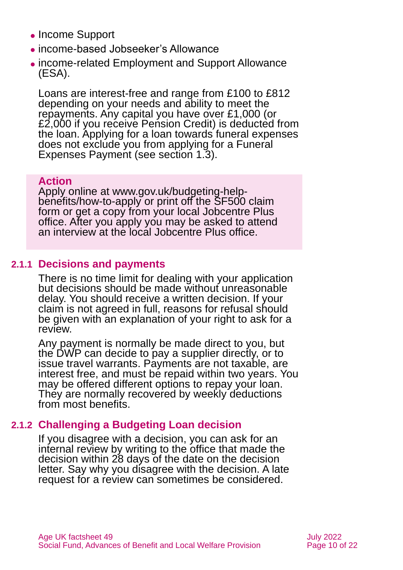- ⚫ Income Support
- ⚫ income-based Jobseeker's Allowance
- ⚫ income-related Employment and Support Allowance (ESA).

Loans are interest-free and range from £100 to £812 depending on your needs and ability to meet the repayments. Any capital you have over £1,000 (or £2,000 if you receive Pension Credit) is deducted from the loan. Applying for a loan towards funeral expenses does not exclude you from applying for a Funeral Expenses Payment (see [section 1.3\)](#page-5-0).

#### **Action**

Apply online at [www.gov.uk/budgeting-help](http://www.gov.uk/budgeting-help-benefits/how-to-apply)[benefits/how-to-apply](http://www.gov.uk/budgeting-help-benefits/how-to-apply) or print off the [SF500](https://www.gov.uk/government/publications/budgeting-loan-claim-form) claim form or get a copy from your local Jobcentre Plus office. After you apply you may be asked to attend an interview at the local Jobcentre Plus office.

### **2.1.1 Decisions and payments**

There is no time limit for dealing with your application but decisions should be made without unreasonable delay. You should receive a written decision. If your claim is not agreed in full, reasons for refusal should be given with an explanation of your right to ask for a review.

Any payment is normally be made direct to you, but the DWP can decide to pay a supplier directly, or to issue travel warrants. Payments are not taxable, are interest free, and must be repaid within two years. You may be offered different options to repay your loan. They are normally recovered by weekly deductions from most benefits.

### **2.1.2 Challenging a Budgeting Loan decision**

If you disagree with a decision, you can ask for an internal review by writing to the office that made the decision within 28 days of the date on the decision letter. Say why you disagree with the decision. A late request for a review can sometimes be considered.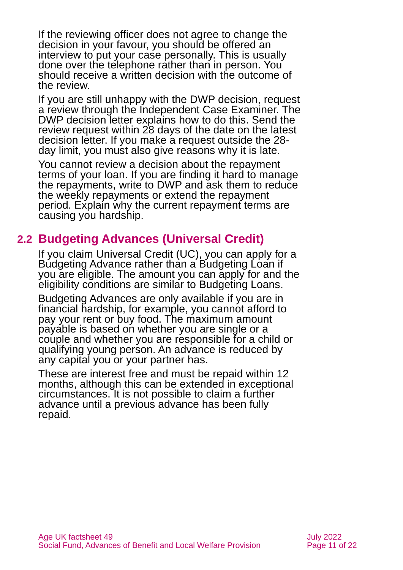If the reviewing officer does not agree to change the decision in your favour, you should be offered an interview to put your case personally. This is usually done over the telephone rather than in person. You should receive a written decision with the outcome of the review.

If you are still unhappy with the DWP decision, request a review through the Independent Case Examiner. The DWP decision letter explains how to do this. Send the review request within 28 days of the date on the latest decision letter. If you make a request outside the 28 day limit, you must also give reasons why it is late.

You cannot review a decision about the repayment terms of your loan. If you are finding it hard to manage the repayments, write to DWP and ask them to reduce the weekly repayments or extend the repayment period. Explain why the current repayment terms are causing you hardship.

### **2.2 Budgeting Advances (Universal Credit)**

If you claim Universal Credit (UC), you can apply for a Budgeting Advance rather than a Budgeting Loan if you are eligible. The amount you can apply for and the eligibility conditions are similar to Budgeting Loans.

Budgeting Advances are only available if you are in financial hardship, for example, you cannot afford to pay your rent or buy food. The maximum amount payable is based on whether you are single or a couple and whether you are responsible for a child or qualifying young person. An advance is reduced by any capital you or your partner has.

These are interest free and must be repaid within 12 months, although this can be extended in exceptional circumstances. It is not possible to claim a further advance until a previous advance has been fully repaid.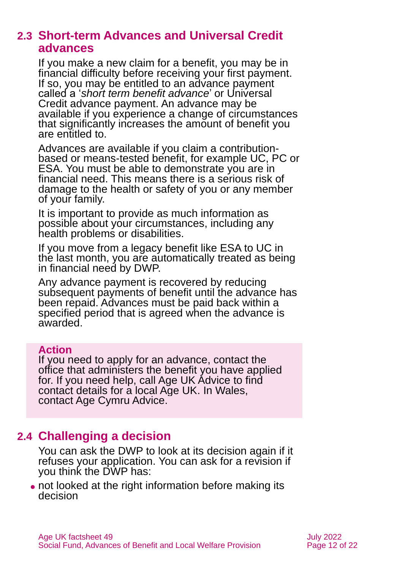### **2.3 Short-term Advances and Universal Credit advances**

If you make a new claim for a benefit, you may be in financial difficulty before receiving your first payment. If so, you may be entitled to an advance payment called a '*short term benefit advance*' or Universal Credit advance payment. An advance may be available if you experience a change of circumstances that significantly increases the amount of benefit you are entitled to.

Advances are available if you claim a contributionbased or means-tested benefit, for example UC, PC or ESA. You must be able to demonstrate you are in financial need. This means there is a serious risk of damage to the health or safety of you or any member of your family.

It is important to provide as much information as possible about your circumstances, including any health problems or disabilities.

If you move from a legacy benefit like ESA to UC in the last month, you are automatically treated as being in financial need by DWP.

Any advance payment is recovered by reducing subsequent payments of benefit until the advance has been repaid. Advances must be paid back within a specified period that is agreed when the advance is awarded.

#### **Action**

If you need to apply for an advance, contact the office that administers the benefit you have applied for. If you need help, call Age UK Advice to find contact details for a local Age UK. In Wales, contact [Age Cymru](#page-20-4) Advice.

### **2.4 Challenging a decision**

You can ask the DWP to look at its decision again if it refuses your application. You can ask for a revision if you think the DWP has:

• not looked at the right information before making its decision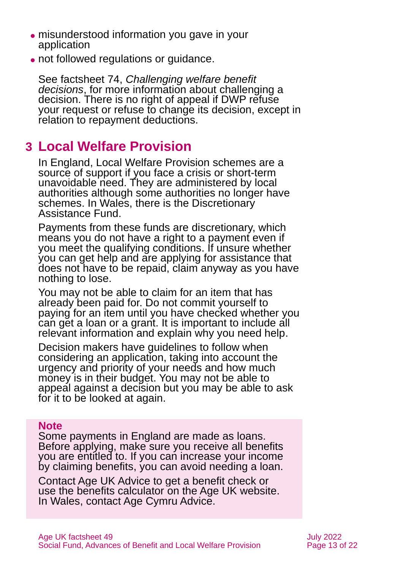- ⚫ misunderstood information you gave in your application
- ⚫ not followed regulations or guidance.

See factsheet 74, *[Challenging welfare benefit](https://www.ageuk.org.uk/globalassets/age-uk/documents/factsheets/fs74_challenging_welfare_benefit_decisions_fcs.pdf)  [decisions](https://www.ageuk.org.uk/globalassets/age-uk/documents/factsheets/fs74_challenging_welfare_benefit_decisions_fcs.pdf)*, for more information about challenging a decision. There is no right of appeal if DWP refuse your request or refuse to change its decision, except in relation to repayment deductions.

# <span id="page-12-0"></span>**3 Local Welfare Provision**

In England, Local Welfare Provision schemes are a source of support if you face a crisis or short-term unavoidable need. They are administered by local authorities although some authorities no longer have schemes. In Wales, there is the Discretionary Assistance Fund.

Payments from these funds are discretionary, which means you do not have a right to a payment even if you meet the qualifying conditions. If unsure whether you can get help and are applying for assistance that does not have to be repaid, claim anyway as you have nothing to lose.

You may not be able to claim for an item that has already been paid for. Do not commit yourself to paying for an item until you have checked whether you can get a loan or a grant. It is important to include all relevant information and explain why you need help.

Decision makers have guidelines to follow when considering an application, taking into account the urgency and priority of your needs and how much money is in their budget. You may not be able to appeal against a decision but you may be able to ask for it to be looked at again.

#### **Note**

Some payments in England are made as loans. Before applying, make sure you receive all benefits you are entitled to. If you can increase your income by claiming benefits, you can avoid needing a loan.

Contact Age UK Advice to get a benefit check or use the [benefits calculator](http://www.ageuk.org.uk/money-matters/claiming-benefits/benefits-calculator/) on the Age UK website. In Wales, contact [Age Cymru Advice.](#page-20-4)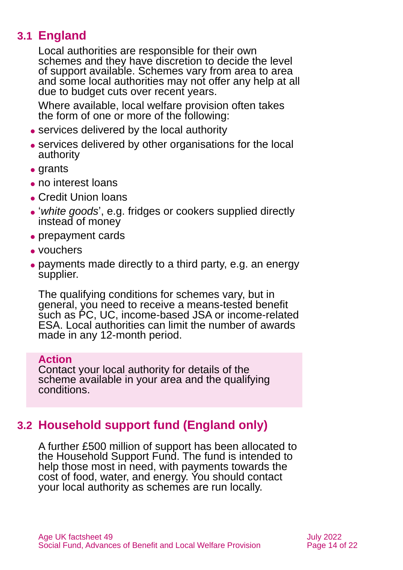### **3.1 England**

Local authorities are responsible for their own schemes and they have discretion to decide the level of support available. Schemes vary from area to area and some local authorities may not offer any help at all due to budget cuts over recent years.

Where available, local welfare provision often takes the form of one or more of the following:

- ⚫ services delivered by the local authority
- ⚫ services delivered by other organisations for the local authority
- ⚫ grants
- ⚫ no interest loans
- ⚫ Credit Union loans
- ⚫ '*white goods*', e.g. fridges or cookers supplied directly instead of money
- prepayment cards
- ⚫ vouchers
- ⚫ payments made directly to a third party, e.g. an energy supplier.

The qualifying conditions for schemes vary, but in general, you need to receive a means-tested benefit such as PC, UC, income-based JSA or income-related ESA. Local authorities can limit the number of awards made in any 12-month period.

#### **Action**

Contact your local authority for details of the scheme available in your area and the qualifying conditions.

### **3.2 Household support fund (England only)**

A further £500 million of support has been allocated to the Household Support Fund. The fund is intended to help those most in need, with payments towards the cost of food, water, and energy. You should contact your local authority as schemes are run locally.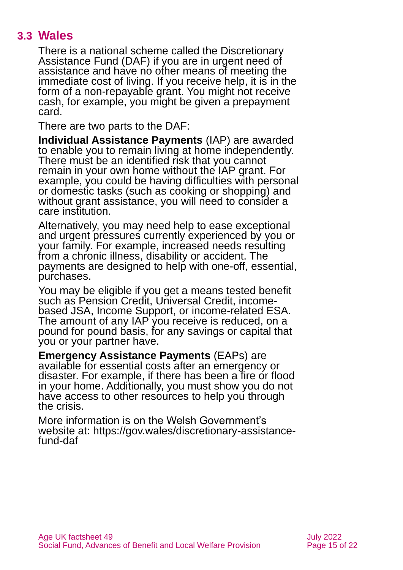### **3.3 Wales**

There is a national scheme called the Discretionary Assistance Fund (DAF) if you are in urgent need of assistance and have no other means of meeting the immediate cost of living. If you receive help, it is in the form of a non-repayable grant. You might not receive cash, for example, you might be given a prepayment card.

There are two parts to the DAF:

**Individual Assistance Payments** (IAP) are awarded to enable you to remain living at home independently. There must be an identified risk that you cannot remain in your own home without the IAP grant. For example, you could be having difficulties with personal or domestic tasks (such as cooking or shopping) and without grant assistance, you will need to consider a care institution.

Alternatively, you may need help to ease exceptional and urgent pressures currently experienced by you or your family. For example, increased needs resulting from a chronic illness, disability or accident. The payments are designed to help with one-off, essential, purchases.

You may be eligible if you get a means tested benefit such as Pension Credit, Universal Credit, incomebased JSA, Income Support, or income-related ESA. The amount of any IAP you receive is reduced, on a pound for pound basis, for any savings or capital that you or your partner have.

**Emergency Assistance Payments** (EAPs) are available for essential costs after an emergency or disaster. For example, if there has been a fire or flood in your home. Additionally, you must show you do not have access to other resources to help you through the crisis.

More information is on the Welsh Government's website at: [https://gov.wales/discretionary-assistance](https://gov.wales/discretionary-assistance-fund-daf)[fund-daf](https://gov.wales/discretionary-assistance-fund-daf)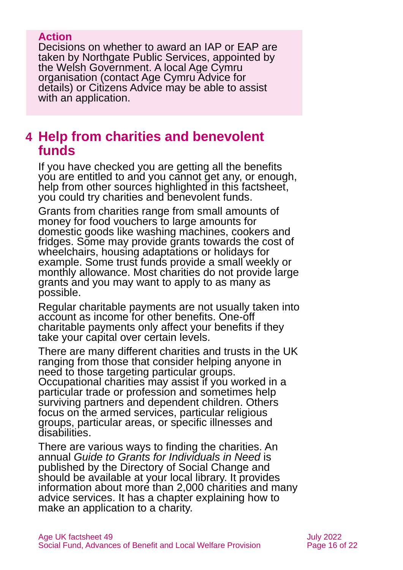#### **Action**

Decisions on whether to award an IAP or EAP are taken by Northgate Public Services, appointed by the Welsh Government. A local Age Cymru organisation (contact [Age Cymru](#page-20-4) Advice for details) or [Citizens Advice](#page-18-0) may be able to assist with an application.

### <span id="page-15-0"></span>**4 Help from charities and benevolent funds**

If you have checked you are getting all the benefits you are entitled to and you cannot get any, or enough, help from other sources highlighted in this factsheet, you could try charities and benevolent funds.

Grants from charities range from small amounts of money for food vouchers to large amounts for domestic goods like washing machines, cookers and fridges. Some may provide grants towards the cost of wheelchairs, housing adaptations or holidays for example. Some trust funds provide a small weekly or monthly allowance. Most charities do not provide large grants and you may want to apply to as many as possible.

Regular charitable payments are not usually taken into account as income for other benefits. One-off charitable payments only affect your benefits if they take your capital over certain levels.

There are many different charities and trusts in the UK ranging from those that consider helping anyone in need to those targeting particular groups. Occupational charities may assist if you worked in a particular trade or profession and sometimes help surviving partners and dependent children. Others focus on the armed services, particular religious groups, particular areas, or specific illnesses and disabilities.

There are various ways to finding the charities. An annual *[Guide to Grants for Individuals in Need](https://www.dsc.org.uk/publication/grants-individuals-need-2022-23/)* is published by the Directory of Social Change and should be available at your local library. It provides information about more than 2,000 charities and many advice services. It has a chapter explaining how to make an application to a charity.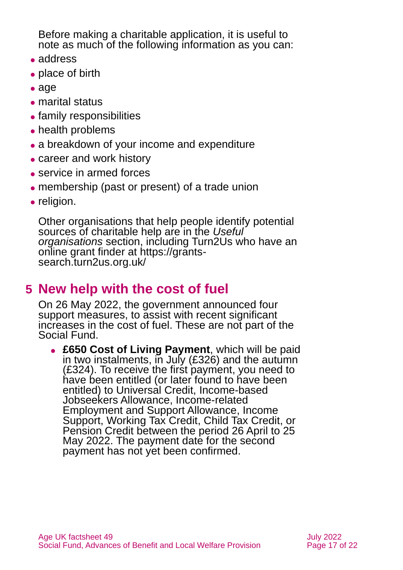Before making a charitable application, it is useful to note as much of the following information as you can:

- ⚫ address
- place of birth
- ⚫ age
- ⚫ marital status
- ⚫ family responsibilities
- ⚫ health problems
- a breakdown of your income and expenditure
- career and work history
- service in armed forces
- ⚫ membership (past or present) of a trade union
- religion.

Other organisations that help people identify potential sources of charitable help are in the *[Useful](#page-18-0)  [organisations](#page-18-0)* section, including Turn2Us who have an online grant finder at [https://grants](https://grants-search.turn2us.org.uk/)[search.turn2us.org.uk/](https://grants-search.turn2us.org.uk/)

# <span id="page-16-0"></span>**5 New help with the cost of fuel**

On 26 May 2022, the government announced four support measures, to assist with recent significant increases in the cost of fuel. These are not part of the Social Fund.

⚫ **£650 Cost of Living Payment**, which will be paid in two instalments, in July (£326) and the autumn (£324). To receive the first payment, you need to have been entitled (or later found to have been entitled) to Universal Credit, Income-based Jobseekers Allowance, Income-related Employment and Support Allowance, Income Support, Working Tax Credit, Child Tax Credit, or Pension Credit between the period 26 April to 25 May 2022. The payment date for the second payment has not yet been confirmed.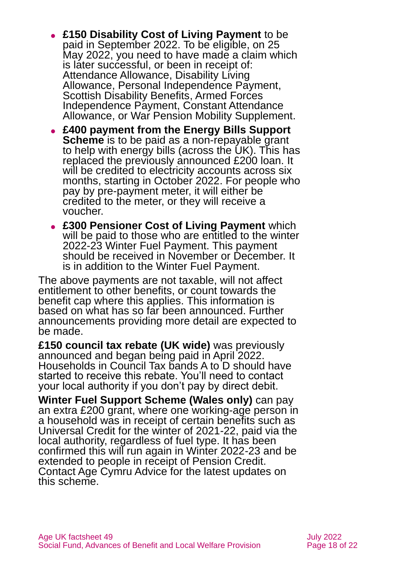- ⚫ **£150 Disability Cost of Living Payment** to be paid in September 2022. To be eligible, on 25 May 2022, you need to have made a claim which is later successful, or been in receipt of: Attendance Allowance, Disability Living Allowance, Personal Independence Payment, Scottish Disability Benefits, Armed Forces Independence Payment, Constant Attendance Allowance, or War Pension Mobility Supplement.
- ⚫ **£400 payment from the Energy Bills Support Scheme** is to be paid as a non-repayable grant to help with energy bills (across the UK). This has replaced the previously announced £200 loan. It will be credited to electricity accounts across six months, starting in October 2022. For people who pay by pre-payment meter, it will either be credited to the meter, or they will receive a voucher.
- ⚫ **£300 Pensioner Cost of Living Payment** which will be paid to those who are entitled to the winter 2022-23 Winter Fuel Payment. This payment should be received in November or December. It is in addition to the Winter Fuel Payment.

The above payments are not taxable, will not affect entitlement to other benefits, or count towards the benefit cap where this applies. This information is based on what has so far been announced. Further announcements providing more detail are expected to be made.

**£150 council tax rebate (UK wide)** was previously announced and began being paid in April 2022. Households in Council Tax bands A to D should have started to receive this rebate. You'll need to contact your local authority if you don't pay by direct debit.

**Winter Fuel Support Scheme (Wales only)** can pay an extra £200 grant, where one working-age person in a household was in receipt of certain benefits such as Universal Credit for the winter of 2021-22, paid via the local authority, regardless of fuel type. It has been confirmed this will run again in Winter 2022-23 and be extended to people in receipt of Pension Credit. [Contact Age Cymru Advice](#page-20-4) for the latest updates on this scheme.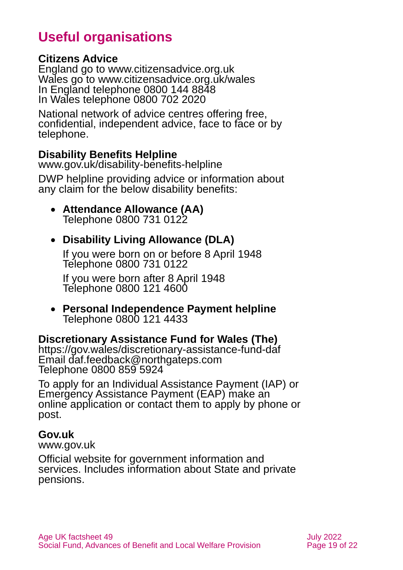# **Useful organisations**

### <span id="page-18-0"></span>**Citizens Advice**

England go to [www.citizensadvice.org.uk](http://www.citizensadvice.org.uk/) Wales go to [www.citizensadvice.org.uk/wales](http://www.citizensadvice.org.uk/wales) In England telephone 0800 144 8848 In Wales telephone 0800 702 2020

National network of advice centres offering free, confidential, independent advice, face to face or by telephone.

### **Disability Benefits Helpline**

[www.gov.uk/disability-benefits-helpline](http://www.gov.uk/disability-benefits-helpline)

DWP helpline providing advice or information about any claim for the below disability benefits:

• **Attendance Allowance (AA)** Telephone 0800 731 0122

### • **Disability Living Allowance (DLA)**

If you were born on or before 8 April 1948 Telephone 0800 731 0122

If you were born after 8 April 1948 Telephone 0800 121 4600

• **Personal Independence Payment helpline** Telephone 0800 121 4433

### **Discretionary Assistance Fund for Wales (The)**

<https://gov.wales/discretionary-assistance-fund-daf> Email daf.feedback@northgateps.com Telephone 0800 859 5924

To apply for an Individual Assistance Payment (IAP) or Emergency Assistance Payment (EAP) make an online application or contact them to apply by phone or post.

#### **Gov.uk**

[www.gov.uk](http://www.gov.uk/)

Official website for government information and services. Includes information about State and private pensions.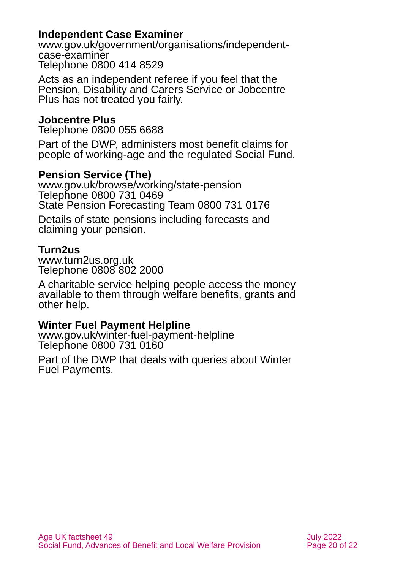### **Independent Case Examiner**

[www.gov.uk/government/organisations/independent](http://www.gov.uk/government/organisations/independent-case-examiner)[case-examiner](http://www.gov.uk/government/organisations/independent-case-examiner) Telephone 0800 414 8529

Acts as an independent referee if you feel that the Pension, Disability and Carers Service or Jobcentre Plus has not treated you fairly.

#### **Jobcentre Plus**

Telephone 0800 055 6688

Part of the DWP, administers most benefit claims for people of working-age and the regulated Social Fund.

### **Pension Service (The)**

[www.gov.uk/browse/working/state-pension](http://www.gov.uk/browse/working/state-pension) Telephone 0800 731 0469 State Pension Forecasting Team 0800 731 0176

Details of state pensions including forecasts and claiming your pension.

#### **Turn2us**

[www.turn2us.org.uk](http://www.turn2us.org.uk/) Telephone 0808 802 2000

A charitable service helping people access the money available to them through welfare benefits, grants and other help.

#### **Winter Fuel Payment Helpline**

[www.gov.uk/winter-fuel-payment-helpline](http://www.gov.uk/winter-fuel-payment-helpline) Telephone 0800 731 0160

Part of the DWP that deals with queries about Winter Fuel Payments.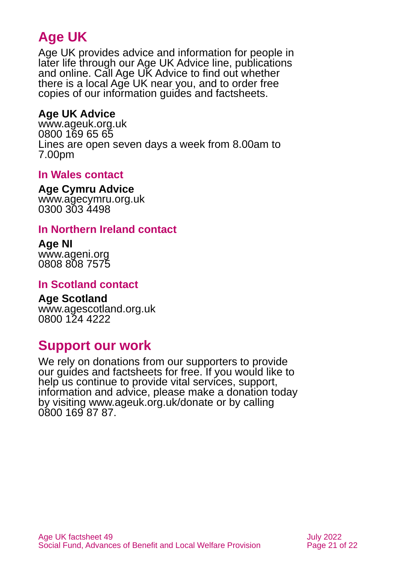# **Age UK**

Age UK provides advice and information for people in later life through our Age UK Advice line, publications and online. Call Age UK Advice to find out whether there is a local Age UK near you, and to order free copies of our information guides and factsheets.

### <span id="page-20-2"></span>**Age UK Advice**

[www.ageuk.org.uk](http://www.ageuk.org.uk/) 0800 169 65 65 Lines are open seven days a week from 8.00am to 7.00pm

### <span id="page-20-4"></span>**In Wales contact**

#### **Age Cymru Advice**

[www.agecymru.org.uk](http://www.agecymru.org.uk/) 0300 303 4498

### <span id="page-20-1"></span>**In Northern Ireland contact**

#### **Age NI** [www.ageni.org](http://www.ageni.org/)

0808 808 7575

### <span id="page-20-0"></span>**In Scotland contact**

### <span id="page-20-3"></span>**Age Scotland**

[www.agescotland.org.uk](http://www.agescotland.org.uk/) 0800 124 4222

### **Support our work**

We rely on donations from our supporters to provide our guides and factsheets for free. If you would like to help us continue to provide vital services, support, information and advice, please make a donation today by visiting [www.ageuk.org.uk/donate](http://www.ageuk.org.uk/donate) or by calling 0800 169 87 87.